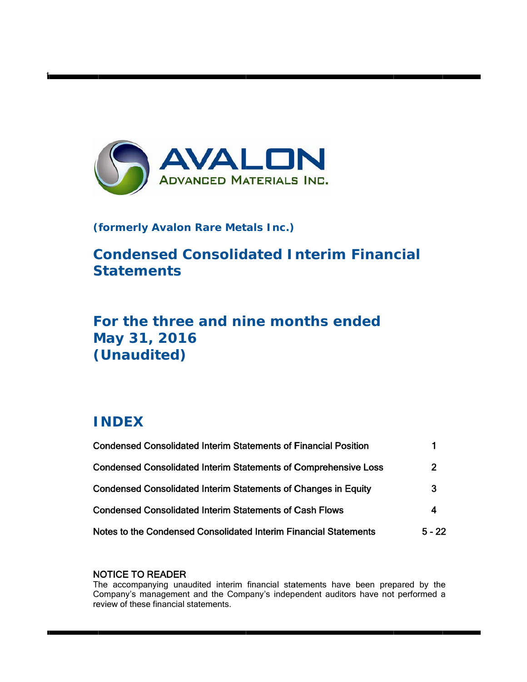

# **( formerly y Avalon R Rare Met tals Inc.)**

**Condensed Consolidated Interim Financial Statements** 

# For the three and nine months ended **M May 31 , 2016** (Unaudited)

# **I INDEX**

t

| <b>Condensed Consolidated Interim Statements of Financial Position</b> |                |
|------------------------------------------------------------------------|----------------|
| <b>Condensed Consolidated Interim Statements of Comprehensive Loss</b> | $\overline{2}$ |
| <b>Condensed Consolidated Interim Statements of Changes in Equity</b>  | 3              |
| <b>Condensed Consolidated Interim Statements of Cash Flows</b>         | 4              |
| Notes to the Condensed Consolidated Interim Financial Statements       | $5 - 22$       |

# N NOTICE TO READER

The accompanying unaudited interim financial statements have been prepared by the Company's management and the Company's independent auditors have not performed a review of these financial statements.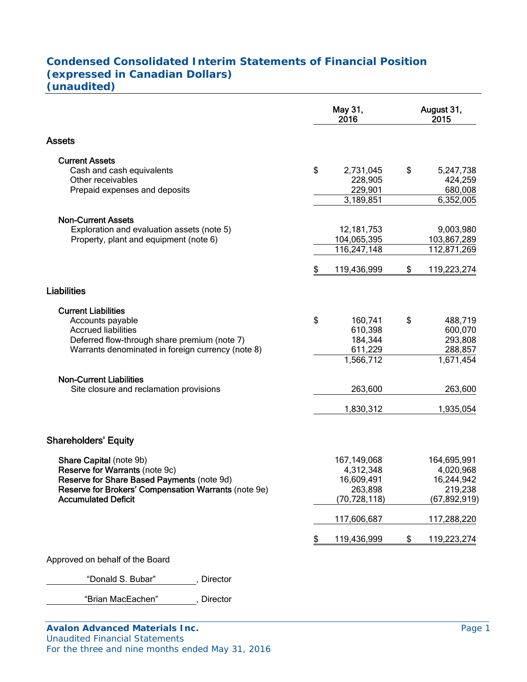# **Condensed Consolidated Interim Statements of Financial Position (expressed in Canadian Dollars) (unaudited)**

|                                                      |                          | May 31,<br>2016 | August 31,<br>2015 |
|------------------------------------------------------|--------------------------|-----------------|--------------------|
| Assets                                               |                          |                 |                    |
| <b>Current Assets</b>                                |                          |                 |                    |
| Cash and cash equivalents                            | \$                       | 2,731,045       | \$<br>5,247,738    |
| Other receivables                                    |                          | 228,905         | 424,259            |
| Prepaid expenses and deposits                        |                          | 229,901         | 680,008            |
|                                                      |                          | 3,189,851       | 6,352,005          |
| <b>Non-Current Assets</b>                            |                          |                 |                    |
| Exploration and evaluation assets (note 5)           |                          | 12,181,753      | 9,003,980          |
| Property, plant and equipment (note 6)               |                          | 104,065,395     | 103,867,289        |
|                                                      |                          | 116,247,148     | 112,871,269        |
|                                                      | \$                       | 119,436,999     | \$<br>119,223,274  |
|                                                      |                          |                 |                    |
| <b>Liabilities</b>                                   |                          |                 |                    |
| <b>Current Liabilities</b>                           |                          |                 |                    |
| Accounts payable                                     | \$                       | 160,741         | \$<br>488,719      |
| <b>Accrued liabilities</b>                           |                          | 610,398         | 600,070            |
| Deferred flow-through share premium (note 7)         |                          | 184,344         | 293,808            |
| Warrants denominated in foreign currency (note 8)    |                          | 611,229         | 288,857            |
|                                                      |                          | 1,566,712       | 1,671,454          |
| <b>Non-Current Liabilities</b>                       |                          |                 |                    |
| Site closure and reclamation provisions              |                          | 263,600         | 263,600            |
|                                                      |                          |                 |                    |
|                                                      |                          | 1,830,312       | 1,935,054          |
| <b>Shareholders' Equity</b>                          |                          |                 |                    |
| Share Capital (note 9b)                              |                          | 167,149,068     | 164,695,991        |
| Reserve for Warrants (note 9c)                       |                          | 4,312,348       | 4,020,968          |
| Reserve for Share Based Payments (note 9d)           |                          | 16,609,491      | 16,244,942         |
| Reserve for Brokers' Compensation Warrants (note 9e) |                          | 263,898         | 219,238            |
| <b>Accumulated Deficit</b>                           |                          | (70, 728, 118)  | (67,892,919)       |
|                                                      |                          | 117,606,687     | 117,288,220        |
|                                                      | $\overline{\mathcal{L}}$ | 119,436,999     | \$<br>119,223,274  |
| Approved on behalf of the Board                      |                          |                 |                    |
|                                                      |                          |                 |                    |

"Donald S. Bubar", Director

"Brian MacEachen" , Director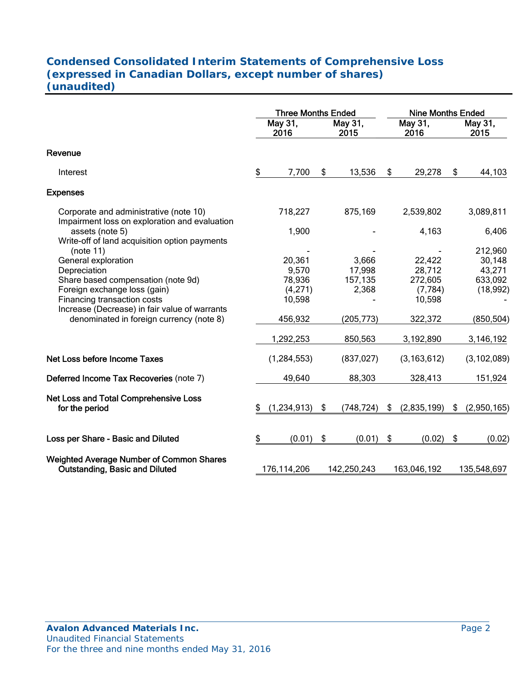# **Condensed Consolidated Interim Statements of Comprehensive Loss (expressed in Canadian Dollars, except number of shares) (unaudited)**

|                                                                                          |    | <b>Three Months Ended</b> |                  | <b>Nine Months Ended</b> |                   |    |                 |
|------------------------------------------------------------------------------------------|----|---------------------------|------------------|--------------------------|-------------------|----|-----------------|
|                                                                                          |    | May 31,<br>2016           | May 31,<br>2015  |                          | May $31,$<br>2016 |    | May 31,<br>2015 |
| Revenue                                                                                  |    |                           |                  |                          |                   |    |                 |
| Interest                                                                                 | \$ | 7,700                     | \$<br>13,536     | \$                       | 29,278            | \$ | 44,103          |
| <b>Expenses</b>                                                                          |    |                           |                  |                          |                   |    |                 |
| Corporate and administrative (note 10)<br>Impairment loss on exploration and evaluation  |    | 718,227                   | 875,169          |                          | 2,539,802         |    | 3,089,811       |
| assets (note 5)<br>Write-off of land acquisition option payments                         |    | 1,900                     |                  |                          | 4,163             |    | 6,406           |
| (note 11)                                                                                |    |                           |                  |                          |                   |    | 212,960         |
| General exploration                                                                      |    | 20,361                    | 3,666            |                          | 22,422            |    | 30,148          |
| Depreciation                                                                             |    | 9,570                     | 17,998           |                          | 28,712            |    | 43,271          |
| Share based compensation (note 9d)                                                       |    | 78,936                    | 157,135          |                          | 272,605           |    | 633,092         |
| Foreign exchange loss (gain)                                                             |    | (4,271)                   | 2,368            |                          | (7, 784)          |    | (18, 992)       |
| Financing transaction costs                                                              |    | 10,598                    |                  |                          | 10,598            |    |                 |
| Increase (Decrease) in fair value of warrants                                            |    |                           |                  |                          |                   |    |                 |
| denominated in foreign currency (note 8)                                                 |    | 456,932                   | (205, 773)       |                          | 322,372           |    | (850, 504)      |
|                                                                                          |    | 1,292,253                 | 850,563          |                          | 3,192,890         |    | 3,146,192       |
| <b>Net Loss before Income Taxes</b>                                                      |    | (1, 284, 553)             | (837, 027)       |                          | (3, 163, 612)     |    | (3, 102, 089)   |
| Deferred Income Tax Recoveries (note 7)                                                  |    | 49,640                    | 88,303           |                          | 328,413           |    | 151,924         |
| Net Loss and Total Comprehensive Loss                                                    |    |                           |                  |                          |                   |    |                 |
| for the period                                                                           | \$ | (1,234,913)               | \$<br>(748, 724) | \$                       | (2,835,199)       | \$ | (2,950,165)     |
| Loss per Share - Basic and Diluted                                                       | \$ | (0.01)                    | \$<br>(0.01)     | \$                       | (0.02)            | \$ | (0.02)          |
| <b>Weighted Average Number of Common Shares</b><br><b>Outstanding, Basic and Diluted</b> |    | 176,114,206               | 142,250,243      |                          | 163,046,192       |    | 135,548,697     |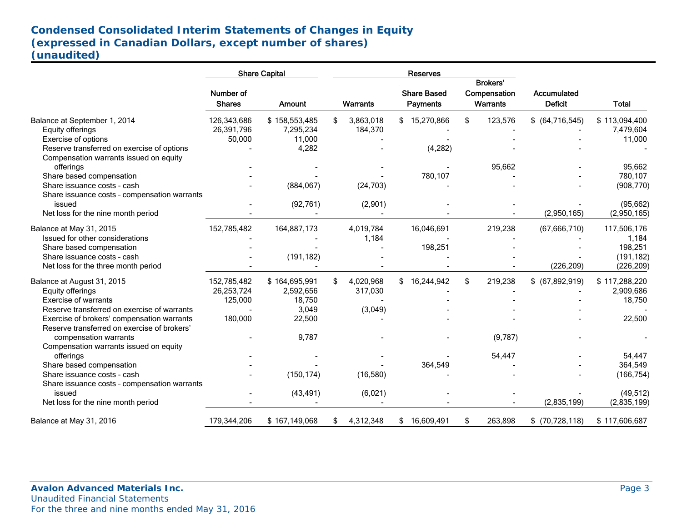# **Condensed Consolidated Interim Statements of Changes in Equity (expressed in Canadian Dollars, except number of shares) (unaudited)**

| Number of<br><b>Shares</b> | <b>Amount</b>                                      |                                                                                                                               |           |                                                                                           | Payments   |                                                                                                                |         | Accumulated<br><b>Deficit</b>                                                      | <b>Total</b>                                                    |
|----------------------------|----------------------------------------------------|-------------------------------------------------------------------------------------------------------------------------------|-----------|-------------------------------------------------------------------------------------------|------------|----------------------------------------------------------------------------------------------------------------|---------|------------------------------------------------------------------------------------|-----------------------------------------------------------------|
|                            |                                                    | \$                                                                                                                            |           |                                                                                           |            | \$                                                                                                             |         |                                                                                    | \$113,094,400                                                   |
|                            |                                                    |                                                                                                                               |           |                                                                                           |            |                                                                                                                |         |                                                                                    | 7,479,604                                                       |
|                            |                                                    |                                                                                                                               |           |                                                                                           |            |                                                                                                                |         |                                                                                    | 11,000                                                          |
|                            |                                                    |                                                                                                                               |           |                                                                                           |            |                                                                                                                |         |                                                                                    |                                                                 |
|                            |                                                    |                                                                                                                               |           |                                                                                           |            |                                                                                                                |         |                                                                                    |                                                                 |
|                            |                                                    |                                                                                                                               |           |                                                                                           |            |                                                                                                                |         |                                                                                    | 95,662                                                          |
|                            |                                                    |                                                                                                                               |           |                                                                                           |            |                                                                                                                |         |                                                                                    | 780,107                                                         |
|                            |                                                    |                                                                                                                               |           |                                                                                           |            |                                                                                                                |         |                                                                                    | (908, 770)                                                      |
|                            |                                                    |                                                                                                                               |           |                                                                                           |            |                                                                                                                |         |                                                                                    |                                                                 |
|                            |                                                    |                                                                                                                               |           |                                                                                           |            |                                                                                                                |         |                                                                                    | (95, 662)                                                       |
|                            |                                                    |                                                                                                                               |           |                                                                                           |            |                                                                                                                |         |                                                                                    | (2,950,165)                                                     |
|                            |                                                    |                                                                                                                               |           |                                                                                           |            |                                                                                                                |         |                                                                                    | 117,506,176                                                     |
|                            |                                                    |                                                                                                                               |           |                                                                                           |            |                                                                                                                |         |                                                                                    |                                                                 |
|                            |                                                    |                                                                                                                               |           |                                                                                           |            |                                                                                                                |         |                                                                                    | 1,184<br>198,251                                                |
|                            |                                                    |                                                                                                                               |           |                                                                                           |            |                                                                                                                |         |                                                                                    |                                                                 |
|                            |                                                    |                                                                                                                               |           |                                                                                           |            |                                                                                                                |         |                                                                                    | (191, 182)<br>(226, 209)                                        |
|                            |                                                    |                                                                                                                               |           |                                                                                           |            |                                                                                                                |         |                                                                                    |                                                                 |
| 152,785,482                | \$164,695,991                                      | \$                                                                                                                            | 4,020,968 |                                                                                           |            | \$                                                                                                             | 219,238 | $$$ (67,892,919)                                                                   | \$117,288,220                                                   |
| 26,253,724                 | 2,592,656                                          |                                                                                                                               | 317,030   |                                                                                           |            |                                                                                                                |         |                                                                                    | 2,909,686                                                       |
| 125,000                    | 18,750                                             |                                                                                                                               |           |                                                                                           |            |                                                                                                                |         |                                                                                    | 18,750                                                          |
|                            | 3,049                                              |                                                                                                                               |           |                                                                                           |            |                                                                                                                |         |                                                                                    |                                                                 |
| 180,000                    | 22,500                                             |                                                                                                                               |           |                                                                                           |            |                                                                                                                |         |                                                                                    | 22,500                                                          |
|                            |                                                    |                                                                                                                               |           |                                                                                           |            |                                                                                                                |         |                                                                                    |                                                                 |
|                            | 9,787                                              |                                                                                                                               |           |                                                                                           |            |                                                                                                                | (9,787) |                                                                                    |                                                                 |
|                            |                                                    |                                                                                                                               |           |                                                                                           |            |                                                                                                                |         |                                                                                    |                                                                 |
|                            |                                                    |                                                                                                                               |           |                                                                                           |            |                                                                                                                | 54,447  |                                                                                    | 54,447                                                          |
|                            |                                                    |                                                                                                                               |           |                                                                                           | 364,549    |                                                                                                                |         |                                                                                    | 364,549                                                         |
|                            | (150, 174)                                         |                                                                                                                               | (16,580)  |                                                                                           |            |                                                                                                                |         |                                                                                    | (166, 754)                                                      |
|                            |                                                    |                                                                                                                               |           |                                                                                           |            |                                                                                                                |         |                                                                                    |                                                                 |
|                            | (43, 491)                                          |                                                                                                                               | (6,021)   |                                                                                           |            |                                                                                                                |         |                                                                                    | (49, 512)                                                       |
|                            |                                                    |                                                                                                                               |           |                                                                                           |            |                                                                                                                |         | (2,835,199)                                                                        | (2,835,199)                                                     |
| 179,344,206                | \$167,149,068                                      | \$                                                                                                                            | 4,312,348 |                                                                                           | 16,609,491 | \$                                                                                                             | 263,898 | \$(70, 728, 118)                                                                   | \$117,606,687                                                   |
|                            | 126,343,686<br>26,391,796<br>50,000<br>152,785,482 | <b>Share Capital</b><br>\$158,553,485<br>7,295,234<br>11,000<br>4,282<br>(884, 067)<br>(92, 761)<br>164,887,173<br>(191, 182) |           | Warrants<br>3,863,018<br>184,370<br>(24, 703)<br>(2,901)<br>4,019,784<br>1,184<br>(3,049) |            | Reserves<br><b>Share Based</b><br>\$15,270,866<br>(4, 282)<br>780,107<br>16,046,691<br>198,251<br>\$16,244,942 |         | <b>Brokers'</b><br>Compensation<br><b>Warrants</b><br>123,576<br>95,662<br>219,238 | $$$ (64,716,545)<br>(2,950,165)<br>(67, 666, 710)<br>(226, 209) |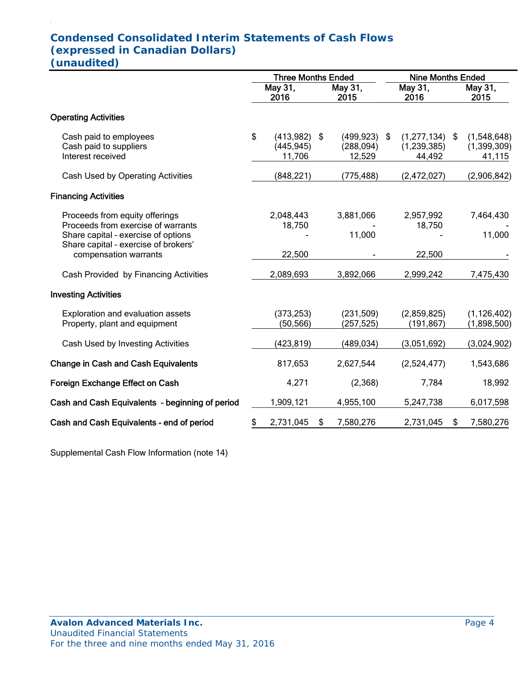# **Condensed Consolidated Interim Statements of Cash Flows (expressed in Canadian Dollars) (unaudited)**

|                                                                                                                                                     | <b>Three Months Ended</b> |                                   |    |                                    |                 | <b>Nine Months Ended</b>                  |    |                                      |  |
|-----------------------------------------------------------------------------------------------------------------------------------------------------|---------------------------|-----------------------------------|----|------------------------------------|-----------------|-------------------------------------------|----|--------------------------------------|--|
|                                                                                                                                                     | May 31,<br>2016           |                                   |    | May 31,<br>2015                    | May 31,<br>2016 |                                           |    | May 31,<br>2015                      |  |
| <b>Operating Activities</b>                                                                                                                         |                           |                                   |    |                                    |                 |                                           |    |                                      |  |
| Cash paid to employees<br>Cash paid to suppliers<br>Interest received                                                                               | \$                        | (413,982)<br>(445, 945)<br>11,706 | \$ | (499, 923)<br>(288, 094)<br>12,529 | \$              | $(1,277,134)$ \$<br>(1,239,385)<br>44,492 |    | (1,548,648)<br>(1,399,309)<br>41,115 |  |
| Cash Used by Operating Activities                                                                                                                   |                           | (848, 221)                        |    | (775, 488)                         |                 | (2,472,027)                               |    | (2,906,842)                          |  |
| <b>Financing Activities</b>                                                                                                                         |                           |                                   |    |                                    |                 |                                           |    |                                      |  |
| Proceeds from equity offerings<br>Proceeds from exercise of warrants<br>Share capital - exercise of options<br>Share capital - exercise of brokers' |                           | 2,048,443<br>18,750               |    | 3,881,066<br>11,000                |                 | 2,957,992<br>18,750                       |    | 7,464,430<br>11,000                  |  |
| compensation warrants                                                                                                                               |                           | 22,500                            |    |                                    |                 | 22,500                                    |    |                                      |  |
| Cash Provided by Financing Activities                                                                                                               |                           | 2,089,693                         |    | 3,892,066                          |                 | 2,999,242                                 |    | 7,475,430                            |  |
| <b>Investing Activities</b>                                                                                                                         |                           |                                   |    |                                    |                 |                                           |    |                                      |  |
| Exploration and evaluation assets<br>Property, plant and equipment                                                                                  |                           | (373, 253)<br>(50, 566)           |    | (231,509)<br>(257, 525)            |                 | (2,859,825)<br>(191, 867)                 |    | (1, 126, 402)<br>(1,898,500)         |  |
| Cash Used by Investing Activities                                                                                                                   |                           | (423, 819)                        |    | (489, 034)                         |                 | (3,051,692)                               |    | (3,024,902)                          |  |
| <b>Change in Cash and Cash Equivalents</b>                                                                                                          |                           | 817,653                           |    | 2,627,544                          |                 | (2,524,477)                               |    | 1,543,686                            |  |
| Foreign Exchange Effect on Cash                                                                                                                     |                           | 4,271                             |    | (2,368)                            |                 | 7,784                                     |    | 18,992                               |  |
| Cash and Cash Equivalents - beginning of period                                                                                                     |                           | 1,909,121                         |    | 4,955,100                          |                 | 5,247,738                                 |    | 6,017,598                            |  |
| Cash and Cash Equivalents - end of period                                                                                                           | \$                        | 2,731,045                         | S  | 7,580,276                          |                 | 2,731,045                                 | \$ | 7,580,276                            |  |

Supplemental Cash Flow Information (note 14)

.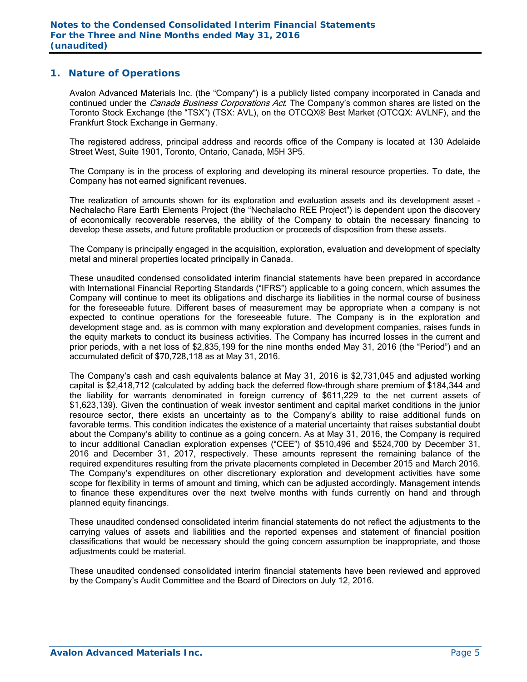#### **1. Nature of Operations**

Avalon Advanced Materials Inc. (the "Company") is a publicly listed company incorporated in Canada and continued under the *Canada Business Corporations Act*. The Company's common shares are listed on the Toronto Stock Exchange (the "TSX") (TSX: AVL), on the OTCQX® Best Market (OTCQX: AVLNF), and the Frankfurt Stock Exchange in Germany.

The registered address, principal address and records office of the Company is located at 130 Adelaide Street West, Suite 1901, Toronto, Ontario, Canada, M5H 3P5.

The Company is in the process of exploring and developing its mineral resource properties. To date, the Company has not earned significant revenues.

The realization of amounts shown for its exploration and evaluation assets and its development asset - Nechalacho Rare Earth Elements Project (the "Nechalacho REE Project") is dependent upon the discovery of economically recoverable reserves, the ability of the Company to obtain the necessary financing to develop these assets, and future profitable production or proceeds of disposition from these assets.

The Company is principally engaged in the acquisition, exploration, evaluation and development of specialty metal and mineral properties located principally in Canada.

These unaudited condensed consolidated interim financial statements have been prepared in accordance with International Financial Reporting Standards ("IFRS") applicable to a going concern, which assumes the Company will continue to meet its obligations and discharge its liabilities in the normal course of business for the foreseeable future. Different bases of measurement may be appropriate when a company is not expected to continue operations for the foreseeable future. The Company is in the exploration and development stage and, as is common with many exploration and development companies, raises funds in the equity markets to conduct its business activities. The Company has incurred losses in the current and prior periods, with a net loss of \$2,835,199 for the nine months ended May 31, 2016 (the "Period") and an accumulated deficit of \$70,728,118 as at May 31, 2016.

The Company's cash and cash equivalents balance at May 31, 2016 is \$2,731,045 and adjusted working capital is \$2,418,712 (calculated by adding back the deferred flow-through share premium of \$184,344 and the liability for warrants denominated in foreign currency of \$611,229 to the net current assets of \$1,623,139). Given the continuation of weak investor sentiment and capital market conditions in the junior resource sector, there exists an uncertainty as to the Company's ability to raise additional funds on favorable terms. This condition indicates the existence of a material uncertainty that raises substantial doubt about the Company's ability to continue as a going concern. As at May 31, 2016, the Company is required to incur additional Canadian exploration expenses ("CEE") of \$510,496 and \$524,700 by December 31, 2016 and December 31, 2017, respectively. These amounts represent the remaining balance of the required expenditures resulting from the private placements completed in December 2015 and March 2016. The Company's expenditures on other discretionary exploration and development activities have some scope for flexibility in terms of amount and timing, which can be adjusted accordingly. Management intends to finance these expenditures over the next twelve months with funds currently on hand and through planned equity financings.

These unaudited condensed consolidated interim financial statements do not reflect the adjustments to the carrying values of assets and liabilities and the reported expenses and statement of financial position classifications that would be necessary should the going concern assumption be inappropriate, and those adjustments could be material.

These unaudited condensed consolidated interim financial statements have been reviewed and approved by the Company's Audit Committee and the Board of Directors on July 12, 2016.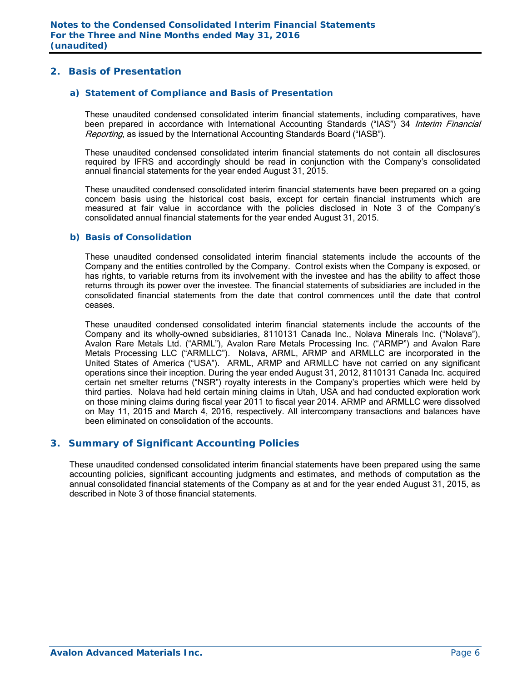## **2. Basis of Presentation**

#### *a) Statement of Compliance and Basis of Presentation*

These unaudited condensed consolidated interim financial statements, including comparatives, have been prepared in accordance with International Accounting Standards ("IAS") 34 Interim Financial Reporting, as issued by the International Accounting Standards Board ("IASB").

These unaudited condensed consolidated interim financial statements do not contain all disclosures required by IFRS and accordingly should be read in conjunction with the Company's consolidated annual financial statements for the year ended August 31, 2015.

These unaudited condensed consolidated interim financial statements have been prepared on a going concern basis using the historical cost basis, except for certain financial instruments which are measured at fair value in accordance with the policies disclosed in Note 3 of the Company's consolidated annual financial statements for the year ended August 31, 2015.

#### *b) Basis of Consolidation*

These unaudited condensed consolidated interim financial statements include the accounts of the Company and the entities controlled by the Company. Control exists when the Company is exposed, or has rights, to variable returns from its involvement with the investee and has the ability to affect those returns through its power over the investee. The financial statements of subsidiaries are included in the consolidated financial statements from the date that control commences until the date that control ceases.

These unaudited condensed consolidated interim financial statements include the accounts of the Company and its wholly-owned subsidiaries, 8110131 Canada Inc., Nolava Minerals Inc. ("Nolava"), Avalon Rare Metals Ltd. ("ARML"), Avalon Rare Metals Processing Inc. ("ARMP") and Avalon Rare Metals Processing LLC ("ARMLLC"). Nolava, ARML, ARMP and ARMLLC are incorporated in the United States of America ("USA"). ARML, ARMP and ARMLLC have not carried on any significant operations since their inception. During the year ended August 31, 2012, 8110131 Canada Inc. acquired certain net smelter returns ("NSR") royalty interests in the Company's properties which were held by third parties. Nolava had held certain mining claims in Utah, USA and had conducted exploration work on those mining claims during fiscal year 2011 to fiscal year 2014. ARMP and ARMLLC were dissolved on May 11, 2015 and March 4, 2016, respectively. All intercompany transactions and balances have been eliminated on consolidation of the accounts.

## **3. Summary of Significant Accounting Policies**

These unaudited condensed consolidated interim financial statements have been prepared using the same accounting policies, significant accounting judgments and estimates, and methods of computation as the annual consolidated financial statements of the Company as at and for the year ended August 31, 2015, as described in Note 3 of those financial statements.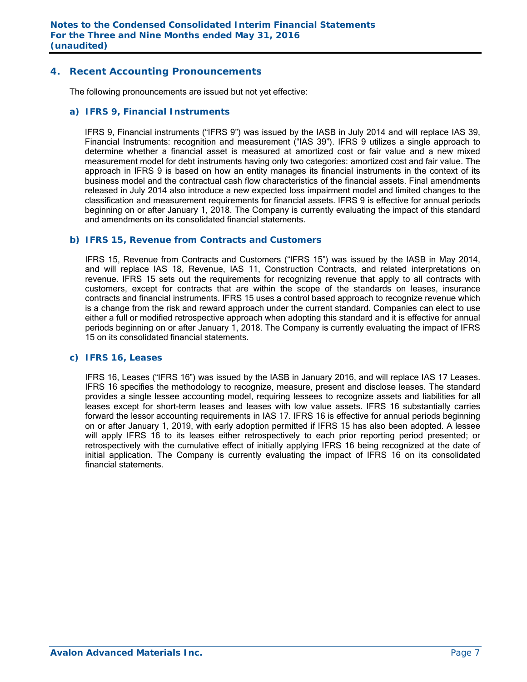#### **4. Recent Accounting Pronouncements**

The following pronouncements are issued but not yet effective:

#### *a) IFRS 9, Financial Instruments*

IFRS 9, Financial instruments ("IFRS 9") was issued by the IASB in July 2014 and will replace IAS 39, Financial Instruments: recognition and measurement ("IAS 39"). IFRS 9 utilizes a single approach to determine whether a financial asset is measured at amortized cost or fair value and a new mixed measurement model for debt instruments having only two categories: amortized cost and fair value. The approach in IFRS 9 is based on how an entity manages its financial instruments in the context of its business model and the contractual cash flow characteristics of the financial assets. Final amendments released in July 2014 also introduce a new expected loss impairment model and limited changes to the classification and measurement requirements for financial assets. IFRS 9 is effective for annual periods beginning on or after January 1, 2018. The Company is currently evaluating the impact of this standard and amendments on its consolidated financial statements.

#### *b) IFRS 15, Revenue from Contracts and Customers*

IFRS 15, Revenue from Contracts and Customers ("IFRS 15") was issued by the IASB in May 2014, and will replace IAS 18, Revenue, IAS 11, Construction Contracts, and related interpretations on revenue. IFRS 15 sets out the requirements for recognizing revenue that apply to all contracts with customers, except for contracts that are within the scope of the standards on leases, insurance contracts and financial instruments. IFRS 15 uses a control based approach to recognize revenue which is a change from the risk and reward approach under the current standard. Companies can elect to use either a full or modified retrospective approach when adopting this standard and it is effective for annual periods beginning on or after January 1, 2018. The Company is currently evaluating the impact of IFRS 15 on its consolidated financial statements.

#### *c) IFRS 16, Leases*

 IFRS 16, Leases ("IFRS 16") was issued by the IASB in January 2016, and will replace IAS 17 Leases. IFRS 16 specifies the methodology to recognize, measure, present and disclose leases. The standard provides a single lessee accounting model, requiring lessees to recognize assets and liabilities for all leases except for short-term leases and leases with low value assets. IFRS 16 substantially carries forward the lessor accounting requirements in IAS 17. IFRS 16 is effective for annual periods beginning on or after January 1, 2019, with early adoption permitted if IFRS 15 has also been adopted. A lessee will apply IFRS 16 to its leases either retrospectively to each prior reporting period presented; or retrospectively with the cumulative effect of initially applying IFRS 16 being recognized at the date of initial application. The Company is currently evaluating the impact of IFRS 16 on its consolidated financial statements.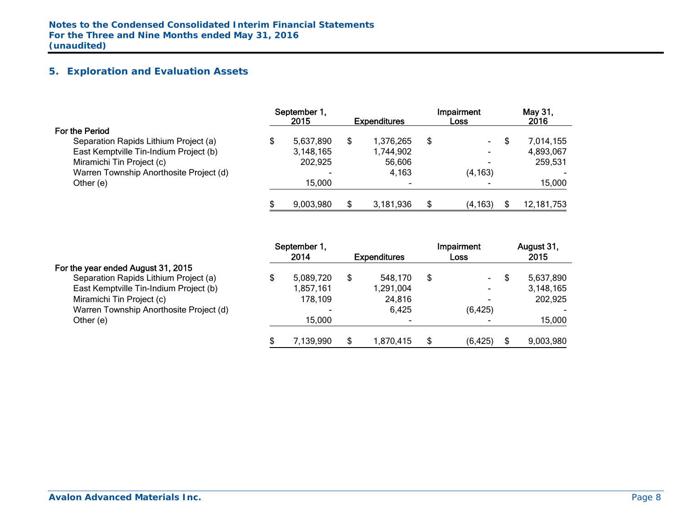# **5. Exploration and Evaluation Assets**

|                                         |   | September 1,<br>2015 | <b>Expenditures</b> | <b>Impairment</b><br>Loss | May 31,<br>2016 |
|-----------------------------------------|---|----------------------|---------------------|---------------------------|-----------------|
| For the Period                          |   |                      |                     |                           |                 |
| Separation Rapids Lithium Project (a)   |   | 5,637,890            | 1,376,265           | \$<br>$\sim$              | 7,014,155       |
| East Kemptville Tin-Indium Project (b)  |   | 3,148,165            | 1,744,902           |                           | 4,893,067       |
| Miramichi Tin Project (c)               |   | 202,925              | 56,606              |                           | 259,531         |
| Warren Township Anorthosite Project (d) |   |                      | 4,163               | (4, 163)                  |                 |
| Other (e)                               |   | 15.000               | -                   |                           | 15,000          |
|                                         | S | 9,003,980            | 3,181,936           | \$<br>(4, 163)            | 12, 181, 753    |

|                                         | September 1, |           |  |                     |   | Impairment |     | August 31, |
|-----------------------------------------|--------------|-----------|--|---------------------|---|------------|-----|------------|
|                                         |              | 2014      |  | <b>Expenditures</b> |   | Loss       |     | 2015       |
| For the year ended August 31, 2015      |              |           |  |                     |   |            |     |            |
| Separation Rapids Lithium Project (a)   |              | 5,089,720 |  | 548,170             | S | $\sim$     | \$  | 5,637,890  |
| East Kemptville Tin-Indium Project (b)  |              | 1,857,161 |  | 1,291,004           |   | $\sim$     |     | 3,148,165  |
| Miramichi Tin Project (c)               |              | 178,109   |  | 24,816              |   |            |     | 202,925    |
| Warren Township Anorthosite Project (d) |              |           |  | 6,425               |   | (6, 425)   |     |            |
| Other (e)                               |              | 15,000    |  |                     |   |            |     | 15,000     |
|                                         |              | 7,139,990 |  | 1,870,415           |   | (6, 425)   | \$. | 9,003,980  |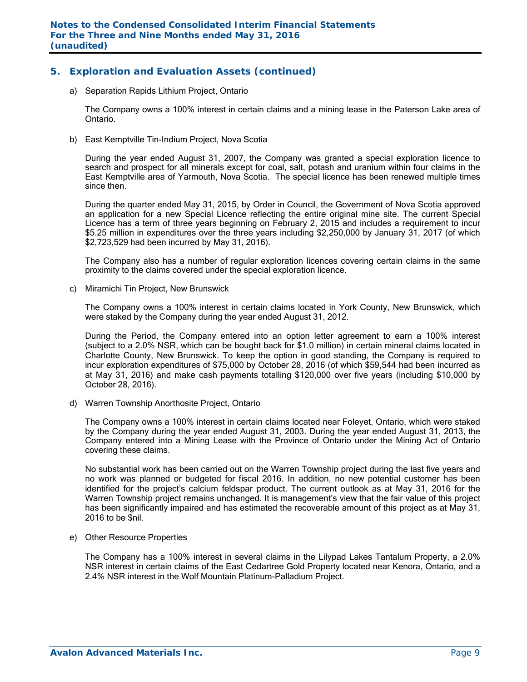## **5. Exploration and Evaluation Assets (continued)**

a) Separation Rapids Lithium Project, Ontario

The Company owns a 100% interest in certain claims and a mining lease in the Paterson Lake area of Ontario.

b) East Kemptville Tin-Indium Project, Nova Scotia

During the year ended August 31, 2007, the Company was granted a special exploration licence to search and prospect for all minerals except for coal, salt, potash and uranium within four claims in the East Kemptville area of Yarmouth, Nova Scotia. The special licence has been renewed multiple times since then.

During the quarter ended May 31, 2015, by Order in Council, the Government of Nova Scotia approved an application for a new Special Licence reflecting the entire original mine site. The current Special Licence has a term of three years beginning on February 2, 2015 and includes a requirement to incur \$5.25 million in expenditures over the three years including \$2,250,000 by January 31, 2017 (of which \$2,723,529 had been incurred by May 31, 2016).

The Company also has a number of regular exploration licences covering certain claims in the same proximity to the claims covered under the special exploration licence.

c) Miramichi Tin Project, New Brunswick

The Company owns a 100% interest in certain claims located in York County, New Brunswick, which were staked by the Company during the year ended August 31, 2012.

During the Period, the Company entered into an option letter agreement to earn a 100% interest (subject to a 2.0% NSR, which can be bought back for \$1.0 million) in certain mineral claims located in Charlotte County, New Brunswick. To keep the option in good standing, the Company is required to incur exploration expenditures of \$75,000 by October 28, 2016 (of which \$59,544 had been incurred as at May 31, 2016) and make cash payments totalling \$120,000 over five years (including \$10,000 by October 28, 2016).

d) Warren Township Anorthosite Project, Ontario

The Company owns a 100% interest in certain claims located near Foleyet, Ontario, which were staked by the Company during the year ended August 31, 2003. During the year ended August 31, 2013, the Company entered into a Mining Lease with the Province of Ontario under the Mining Act of Ontario covering these claims.

No substantial work has been carried out on the Warren Township project during the last five years and no work was planned or budgeted for fiscal 2016. In addition, no new potential customer has been identified for the project's calcium feldspar product. The current outlook as at May 31, 2016 for the Warren Township project remains unchanged. It is management's view that the fair value of this project has been significantly impaired and has estimated the recoverable amount of this project as at May 31, 2016 to be \$nil.

e) Other Resource Properties

The Company has a 100% interest in several claims in the Lilypad Lakes Tantalum Property, a 2.0% NSR interest in certain claims of the East Cedartree Gold Property located near Kenora, Ontario, and a 2.4% NSR interest in the Wolf Mountain Platinum-Palladium Project.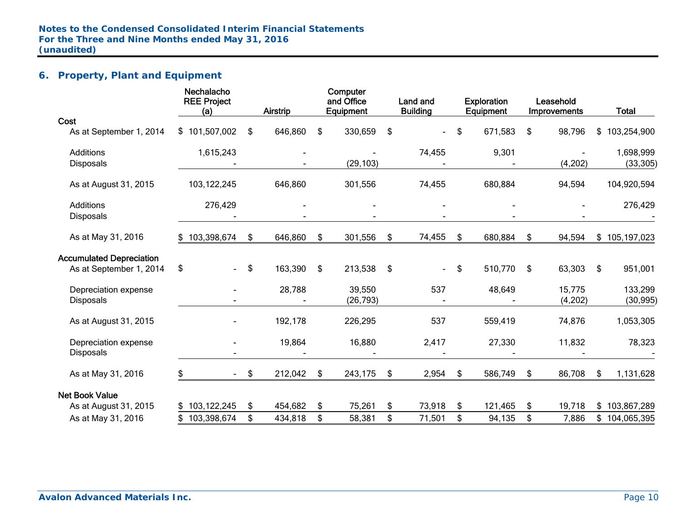# **6. Property, Plant and Equipment**

|                                 | Nechalacho<br><b>REE Project</b><br>(a) |               | Airstrip | Computer<br>and Office<br>Equipment | Land and<br><b>Building</b> | <b>Exploration</b><br>Equipment | Leasehold<br>Improvements | <b>Total</b>      |
|---------------------------------|-----------------------------------------|---------------|----------|-------------------------------------|-----------------------------|---------------------------------|---------------------------|-------------------|
| Cost                            |                                         |               |          |                                     |                             |                                 |                           |                   |
| As at September 1, 2014         | \$101,507,002                           | \$            | 646,860  | \$<br>330,659                       | \$                          | \$<br>671,583                   | \$<br>98,796              | 103,254,900<br>\$ |
| <b>Additions</b>                | 1,615,243                               |               |          |                                     | 74,455                      | 9,301                           |                           | 1,698,999         |
| <b>Disposals</b>                |                                         |               |          | (29, 103)                           |                             |                                 | (4,202)                   | (33, 305)         |
| As at August 31, 2015           | 103,122,245                             |               | 646,860  | 301,556                             | 74,455                      | 680,884                         | 94,594                    | 104,920,594       |
| <b>Additions</b>                | 276,429                                 |               |          |                                     |                             |                                 |                           | 276,429           |
| <b>Disposals</b>                |                                         |               |          |                                     |                             |                                 |                           |                   |
| As at May 31, 2016              | \$103,398,674                           | \$            | 646,860  | \$<br>301,556                       | \$<br>74,455                | \$<br>680,884                   | \$<br>94,594              | \$105,197,023     |
| <b>Accumulated Depreciation</b> |                                         |               |          |                                     |                             |                                 |                           |                   |
| As at September 1, 2014         | \$<br>$\blacksquare$                    | \$            | 163,390  | \$<br>213,538                       | \$<br>$\sim$                | \$<br>510,770                   | \$<br>63,303              | \$<br>951,001     |
| Depreciation expense            |                                         |               | 28,788   | 39,550                              | 537                         | 48,649                          | 15,775                    | 133,299           |
| <b>Disposals</b>                |                                         |               |          | (26, 793)                           |                             |                                 | (4, 202)                  | (30, 995)         |
| As at August 31, 2015           |                                         |               | 192,178  | 226,295                             | 537                         | 559,419                         | 74,876                    | 1,053,305         |
| Depreciation expense            |                                         |               | 19,864   | 16,880                              | 2,417                       | 27,330                          | 11,832                    | 78,323            |
| Disposals                       |                                         |               |          |                                     |                             |                                 |                           |                   |
| As at May 31, 2016              | \$<br>$\sim$ 10 $\pm$                   | $\frac{1}{2}$ | 212,042  | \$<br>243,175                       | \$<br>2,954                 | \$<br>586,749                   | \$<br>86,708              | \$<br>1,131,628   |
| <b>Net Book Value</b>           |                                         |               |          |                                     |                             |                                 |                           |                   |
| As at August 31, 2015           | \$103,122,245                           | \$            | 454,682  | \$<br>75,261                        | \$<br>73,918                | \$<br>121,465                   | \$<br>19,718              | \$103,867,289     |
| As at May 31, 2016              | 103,398,674                             | \$            | 434,818  | \$<br>58,381                        | \$<br>71,501                | \$<br>94,135                    | \$<br>7,886               | \$<br>104,065,395 |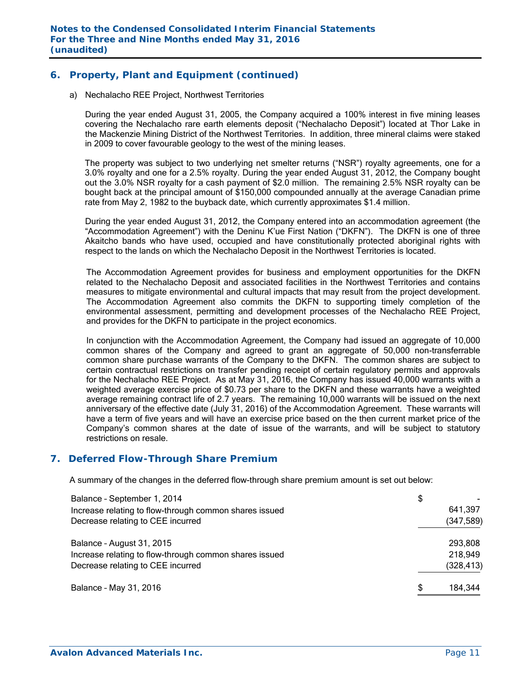## **6. Property, Plant and Equipment (continued)**

a) Nechalacho REE Project, Northwest Territories

During the year ended August 31, 2005, the Company acquired a 100% interest in five mining leases covering the Nechalacho rare earth elements deposit ("Nechalacho Deposit") located at Thor Lake in the Mackenzie Mining District of the Northwest Territories. In addition, three mineral claims were staked in 2009 to cover favourable geology to the west of the mining leases.

The property was subject to two underlying net smelter returns ("NSR") royalty agreements, one for a 3.0% royalty and one for a 2.5% royalty. During the year ended August 31, 2012, the Company bought out the 3.0% NSR royalty for a cash payment of \$2.0 million. The remaining 2.5% NSR royalty can be bought back at the principal amount of \$150,000 compounded annually at the average Canadian prime rate from May 2, 1982 to the buyback date, which currently approximates \$1.4 million.

During the year ended August 31, 2012, the Company entered into an accommodation agreement (the "Accommodation Agreement") with the Deninu K'ue First Nation ("DKFN"). The DKFN is one of three Akaitcho bands who have used, occupied and have constitutionally protected aboriginal rights with respect to the lands on which the Nechalacho Deposit in the Northwest Territories is located.

The Accommodation Agreement provides for business and employment opportunities for the DKFN related to the Nechalacho Deposit and associated facilities in the Northwest Territories and contains measures to mitigate environmental and cultural impacts that may result from the project development. The Accommodation Agreement also commits the DKFN to supporting timely completion of the environmental assessment, permitting and development processes of the Nechalacho REE Project, and provides for the DKFN to participate in the project economics.

In conjunction with the Accommodation Agreement, the Company had issued an aggregate of 10,000 common shares of the Company and agreed to grant an aggregate of 50,000 non-transferrable common share purchase warrants of the Company to the DKFN. The common shares are subject to certain contractual restrictions on transfer pending receipt of certain regulatory permits and approvals for the Nechalacho REE Project. As at May 31, 2016, the Company has issued 40,000 warrants with a weighted average exercise price of \$0.73 per share to the DKFN and these warrants have a weighted average remaining contract life of 2.7 years. The remaining 10,000 warrants will be issued on the next anniversary of the effective date (July 31, 2016) of the Accommodation Agreement. These warrants will have a term of five years and will have an exercise price based on the then current market price of the Company's common shares at the date of issue of the warrants, and will be subject to statutory restrictions on resale.

#### **7. Deferred Flow-Through Share Premium**

A summary of the changes in the deferred flow-through share premium amount is set out below:

| Balance - September 1, 2014                            | \$            |
|--------------------------------------------------------|---------------|
| Increase relating to flow-through common shares issued | 641,397       |
| Decrease relating to CEE incurred                      | (347, 589)    |
| Balance - August 31, 2015                              | 293,808       |
| Increase relating to flow-through common shares issued | 218,949       |
| Decrease relating to CEE incurred                      | (328, 413)    |
| Balance - May 31, 2016                                 | 184,344<br>\$ |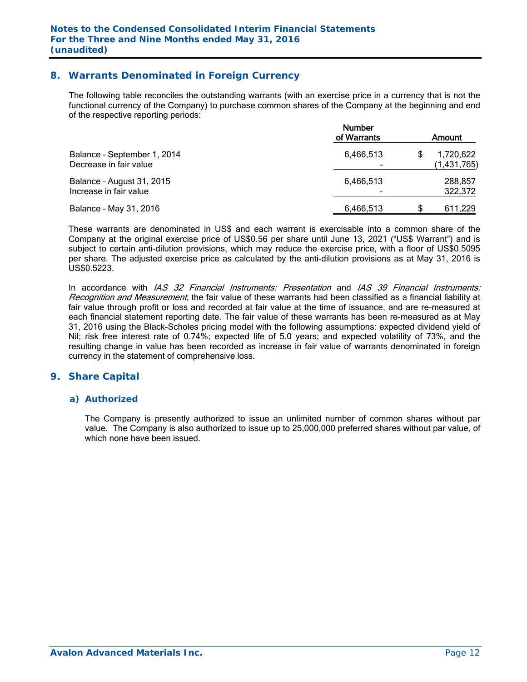## **8. Warrants Denominated in Foreign Currency**

The following table reconciles the outstanding warrants (with an exercise price in a currency that is not the functional currency of the Company) to purchase common shares of the Company at the beginning and end of the respective reporting periods:

|                                                       | <b>Number</b><br>of Warrants | Amount                   |
|-------------------------------------------------------|------------------------------|--------------------------|
| Balance - September 1, 2014<br>Decrease in fair value | 6,466,513                    | 1,720,622<br>(1,431,765) |
| Balance - August 31, 2015<br>Increase in fair value   | 6,466,513                    | 288.857<br>322,372       |
| Balance - May 31, 2016                                | 6,466,513                    | 611,229                  |

These warrants are denominated in US\$ and each warrant is exercisable into a common share of the Company at the original exercise price of US\$0.56 per share until June 13, 2021 ("US\$ Warrant") and is subject to certain anti-dilution provisions, which may reduce the exercise price, with a floor of US\$0.5095 per share. The adjusted exercise price as calculated by the anti-dilution provisions as at May 31, 2016 is US\$0.5223.

In accordance with IAS 32 Financial Instruments: Presentation and IAS 39 Financial Instruments: Recognition and Measurement, the fair value of these warrants had been classified as a financial liability at fair value through profit or loss and recorded at fair value at the time of issuance, and are re-measured at each financial statement reporting date. The fair value of these warrants has been re-measured as at May 31, 2016 using the Black-Scholes pricing model with the following assumptions: expected dividend yield of Nil; risk free interest rate of 0.74%; expected life of 5.0 years; and expected volatility of 73%, and the resulting change in value has been recorded as increase in fair value of warrants denominated in foreign currency in the statement of comprehensive loss.

#### **9. Share Capital**

#### *a) Authorized*

The Company is presently authorized to issue an unlimited number of common shares without par value. The Company is also authorized to issue up to 25,000,000 preferred shares without par value, of which none have been issued.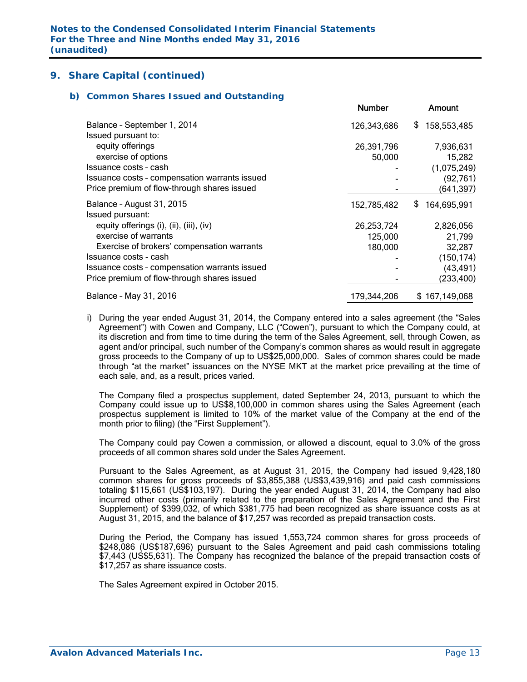#### *b) Common Shares Issued and Outstanding*

|                                               | <b>Number</b> | Amount            |
|-----------------------------------------------|---------------|-------------------|
| Balance - September 1, 2014                   | 126,343,686   | \$<br>158,553,485 |
| Issued pursuant to:                           |               |                   |
| equity offerings                              | 26,391,796    | 7,936,631         |
| exercise of options                           | 50,000        | 15,282            |
| Issuance costs - cash                         |               | (1,075,249)       |
| Issuance costs - compensation warrants issued |               | (92, 761)         |
| Price premium of flow-through shares issued   |               | (641, 397)        |
| Balance - August 31, 2015                     | 152,785,482   | S<br>164,695,991  |
| Issued pursuant:                              |               |                   |
| equity offerings (i), (ii), (iii), (iv)       | 26,253,724    | 2,826,056         |
| exercise of warrants                          | 125,000       | 21,799            |
| Exercise of brokers' compensation warrants    | 180,000       | 32,287            |
| Issuance costs - cash                         |               | (150, 174)        |
| Issuance costs - compensation warrants issued |               | (43, 491)         |
| Price premium of flow-through shares issued   |               | (233,400)         |
| Balance - May 31, 2016                        | 179,344,206   | \$167,149,068     |

i) During the year ended August 31, 2014, the Company entered into a sales agreement (the "Sales Agreement") with Cowen and Company, LLC ("Cowen"), pursuant to which the Company could, at its discretion and from time to time during the term of the Sales Agreement, sell, through Cowen, as agent and/or principal, such number of the Company's common shares as would result in aggregate gross proceeds to the Company of up to US\$25,000,000. Sales of common shares could be made through "at the market" issuances on the NYSE MKT at the market price prevailing at the time of each sale, and, as a result, prices varied.

The Company filed a prospectus supplement, dated September 24, 2013, pursuant to which the Company could issue up to US\$8,100,000 in common shares using the Sales Agreement (each prospectus supplement is limited to 10% of the market value of the Company at the end of the month prior to filing) (the "First Supplement").

The Company could pay Cowen a commission, or allowed a discount, equal to 3.0% of the gross proceeds of all common shares sold under the Sales Agreement.

Pursuant to the Sales Agreement, as at August 31, 2015, the Company had issued 9,428,180 common shares for gross proceeds of \$3,855,388 (US\$3,439,916) and paid cash commissions totaling \$115,661 (US\$103,197). During the year ended August 31, 2014, the Company had also incurred other costs (primarily related to the preparation of the Sales Agreement and the First Supplement) of \$399,032, of which \$381,775 had been recognized as share issuance costs as at August 31, 2015, and the balance of \$17,257 was recorded as prepaid transaction costs.

During the Period, the Company has issued 1,553,724 common shares for gross proceeds of \$248,086 (US\$187,696) pursuant to the Sales Agreement and paid cash commissions totaling \$7,443 (US\$5,631). The Company has recognized the balance of the prepaid transaction costs of \$17,257 as share issuance costs.

The Sales Agreement expired in October 2015.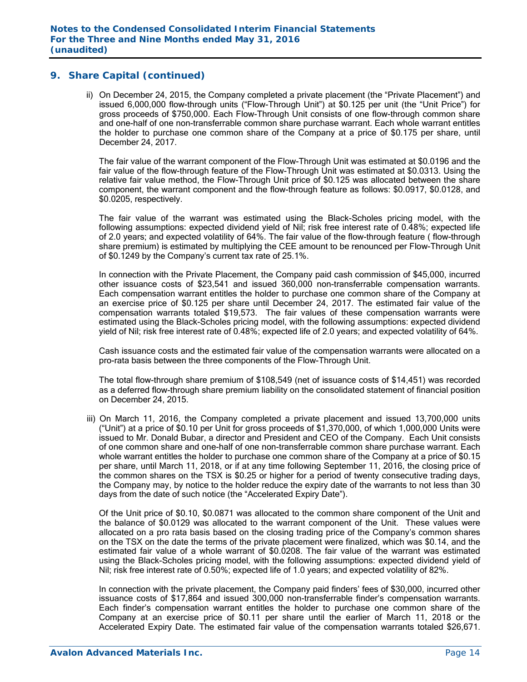ii) On December 24, 2015, the Company completed a private placement (the "Private Placement") and issued 6,000,000 flow-through units ("Flow-Through Unit") at \$0.125 per unit (the "Unit Price") for gross proceeds of \$750,000. Each Flow-Through Unit consists of one flow-through common share and one-half of one non-transferrable common share purchase warrant. Each whole warrant entitles the holder to purchase one common share of the Company at a price of \$0.175 per share, until December 24, 2017.

The fair value of the warrant component of the Flow-Through Unit was estimated at \$0.0196 and the fair value of the flow-through feature of the Flow-Through Unit was estimated at \$0.0313. Using the relative fair value method, the Flow-Through Unit price of \$0.125 was allocated between the share component, the warrant component and the flow-through feature as follows: \$0.0917, \$0.0128, and \$0.0205, respectively.

The fair value of the warrant was estimated using the Black-Scholes pricing model, with the following assumptions: expected dividend yield of Nil; risk free interest rate of 0.48%; expected life of 2.0 years; and expected volatility of 64%. The fair value of the flow-through feature ( flow-through share premium) is estimated by multiplying the CEE amount to be renounced per Flow-Through Unit of \$0.1249 by the Company's current tax rate of 25.1%.

In connection with the Private Placement, the Company paid cash commission of \$45,000, incurred other issuance costs of \$23,541 and issued 360,000 non-transferrable compensation warrants. Each compensation warrant entitles the holder to purchase one common share of the Company at an exercise price of \$0.125 per share until December 24, 2017. The estimated fair value of the compensation warrants totaled \$19,573. The fair values of these compensation warrants were estimated using the Black-Scholes pricing model, with the following assumptions: expected dividend yield of Nil; risk free interest rate of 0.48%; expected life of 2.0 years; and expected volatility of 64%.

Cash issuance costs and the estimated fair value of the compensation warrants were allocated on a pro-rata basis between the three components of the Flow-Through Unit.

The total flow-through share premium of \$108,549 (net of issuance costs of \$14,451) was recorded as a deferred flow-through share premium liability on the consolidated statement of financial position on December 24, 2015.

iii) On March 11, 2016, the Company completed a private placement and issued 13,700,000 units ("Unit") at a price of \$0.10 per Unit for gross proceeds of \$1,370,000, of which 1,000,000 Units were issued to Mr. Donald Bubar, a director and President and CEO of the Company. Each Unit consists of one common share and one-half of one non-transferrable common share purchase warrant. Each whole warrant entitles the holder to purchase one common share of the Company at a price of \$0.15 per share, until March 11, 2018, or if at any time following September 11, 2016, the closing price of the common shares on the TSX is \$0.25 or higher for a period of twenty consecutive trading days, the Company may, by notice to the holder reduce the expiry date of the warrants to not less than 30 days from the date of such notice (the "Accelerated Expiry Date").

 Of the Unit price of \$0.10, \$0.0871 was allocated to the common share component of the Unit and the balance of \$0.0129 was allocated to the warrant component of the Unit. These values were allocated on a pro rata basis based on the closing trading price of the Company's common shares on the TSX on the date the terms of the private placement were finalized, which was \$0.14, and the estimated fair value of a whole warrant of \$0.0208. The fair value of the warrant was estimated using the Black-Scholes pricing model, with the following assumptions: expected dividend yield of Nil; risk free interest rate of 0.50%; expected life of 1.0 years; and expected volatility of 82%.

In connection with the private placement, the Company paid finders' fees of \$30,000, incurred other issuance costs of \$17,864 and issued 300,000 non-transferrable finder's compensation warrants. Each finder's compensation warrant entitles the holder to purchase one common share of the Company at an exercise price of \$0.11 per share until the earlier of March 11, 2018 or the Accelerated Expiry Date. The estimated fair value of the compensation warrants totaled \$26,671.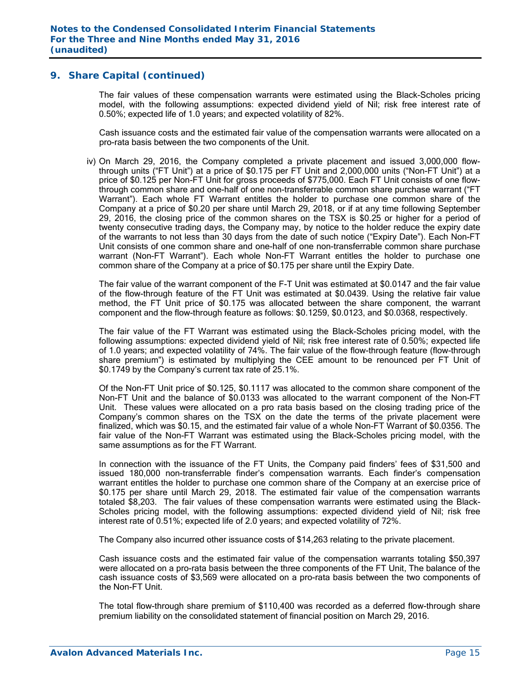The fair values of these compensation warrants were estimated using the Black-Scholes pricing model, with the following assumptions: expected dividend yield of Nil; risk free interest rate of 0.50%; expected life of 1.0 years; and expected volatility of 82%.

Cash issuance costs and the estimated fair value of the compensation warrants were allocated on a pro-rata basis between the two components of the Unit.

iv) On March 29, 2016, the Company completed a private placement and issued 3,000,000 flowthrough units ("FT Unit") at a price of \$0.175 per FT Unit and 2,000,000 units ("Non-FT Unit") at a price of \$0.125 per Non-FT Unit for gross proceeds of \$775,000. Each FT Unit consists of one flowthrough common share and one-half of one non-transferrable common share purchase warrant ("FT Warrant"). Each whole FT Warrant entitles the holder to purchase one common share of the Company at a price of \$0.20 per share until March 29, 2018, or if at any time following September 29, 2016, the closing price of the common shares on the TSX is \$0.25 or higher for a period of twenty consecutive trading days, the Company may, by notice to the holder reduce the expiry date of the warrants to not less than 30 days from the date of such notice ("Expiry Date"). Each Non-FT Unit consists of one common share and one-half of one non-transferrable common share purchase warrant (Non-FT Warrant"). Each whole Non-FT Warrant entitles the holder to purchase one common share of the Company at a price of \$0.175 per share until the Expiry Date.

The fair value of the warrant component of the F-T Unit was estimated at \$0.0147 and the fair value of the flow-through feature of the FT Unit was estimated at \$0.0439. Using the relative fair value method, the FT Unit price of \$0.175 was allocated between the share component, the warrant component and the flow-through feature as follows: \$0.1259, \$0.0123, and \$0.0368, respectively.

The fair value of the FT Warrant was estimated using the Black-Scholes pricing model, with the following assumptions: expected dividend yield of Nil; risk free interest rate of 0.50%; expected life of 1.0 years; and expected volatility of 74%. The fair value of the flow-through feature (flow-through share premium") is estimated by multiplying the CEE amount to be renounced per FT Unit of \$0.1749 by the Company's current tax rate of 25.1%.

 Of the Non-FT Unit price of \$0.125, \$0.1117 was allocated to the common share component of the Non-FT Unit and the balance of \$0.0133 was allocated to the warrant component of the Non-FT Unit. These values were allocated on a pro rata basis based on the closing trading price of the Company's common shares on the TSX on the date the terms of the private placement were finalized, which was \$0.15, and the estimated fair value of a whole Non-FT Warrant of \$0.0356. The fair value of the Non-FT Warrant was estimated using the Black-Scholes pricing model, with the same assumptions as for the FT Warrant.

In connection with the issuance of the FT Units, the Company paid finders' fees of \$31,500 and issued 180,000 non-transferrable finder's compensation warrants. Each finder's compensation warrant entitles the holder to purchase one common share of the Company at an exercise price of \$0.175 per share until March 29, 2018. The estimated fair value of the compensation warrants totaled \$8,203. The fair values of these compensation warrants were estimated using the Black-Scholes pricing model, with the following assumptions: expected dividend yield of Nil; risk free interest rate of 0.51%; expected life of 2.0 years; and expected volatility of 72%.

The Company also incurred other issuance costs of \$14,263 relating to the private placement.

Cash issuance costs and the estimated fair value of the compensation warrants totaling \$50,397 were allocated on a pro-rata basis between the three components of the FT Unit, The balance of the cash issuance costs of \$3,569 were allocated on a pro-rata basis between the two components of the Non-FT Unit.

The total flow-through share premium of \$110,400 was recorded as a deferred flow-through share premium liability on the consolidated statement of financial position on March 29, 2016.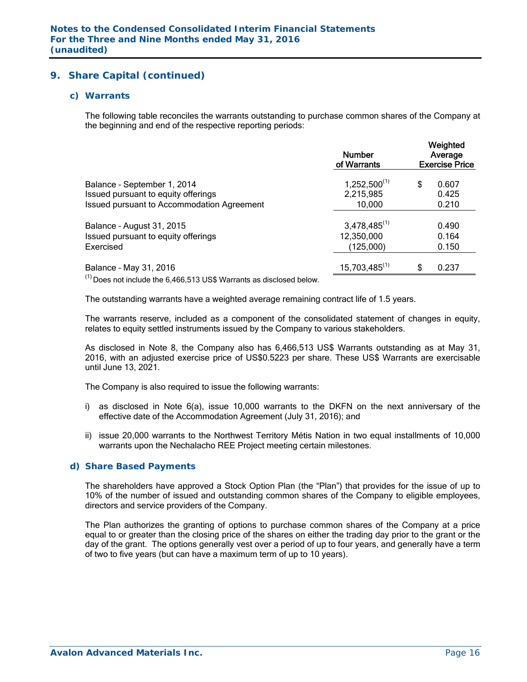#### *c) Warrants*

The following table reconciles the warrants outstanding to purchase common shares of the Company at the beginning and end of the respective reporting periods:

|                                                                                                     | <b>Number</b><br>of Warrants   | Weighted<br>Average<br><b>Exercise Price</b> |                |  |  |
|-----------------------------------------------------------------------------------------------------|--------------------------------|----------------------------------------------|----------------|--|--|
| Balance - September 1, 2014<br>Issued pursuant to equity offerings                                  | $1,252,500^{(1)}$<br>2,215,985 | \$                                           | 0.607<br>0.425 |  |  |
| <b>Issued pursuant to Accommodation Agreement</b>                                                   | 10,000                         |                                              | 0.210          |  |  |
| Balance - August 31, 2015                                                                           | $3,478,485^{(1)}$              |                                              | 0.490          |  |  |
| Issued pursuant to equity offerings                                                                 | 12,350,000                     |                                              | 0.164          |  |  |
| Exercised                                                                                           | (125,000)                      |                                              | 0.150          |  |  |
| Balance - May 31, 2016<br>$^{(1)}$ Does not include the 6,466,513 US\$ Warrants as disclosed below. | $15,703,485^{(1)}$             | \$                                           | 0.237          |  |  |

The outstanding warrants have a weighted average remaining contract life of 1.5 years.

The warrants reserve, included as a component of the consolidated statement of changes in equity, relates to equity settled instruments issued by the Company to various stakeholders.

As disclosed in Note 8, the Company also has 6,466,513 US\$ Warrants outstanding as at May 31, 2016, with an adjusted exercise price of US\$0.5223 per share. These US\$ Warrants are exercisable until June 13, 2021.

The Company is also required to issue the following warrants:

- i) as disclosed in Note 6(a), issue 10,000 warrants to the DKFN on the next anniversary of the effective date of the Accommodation Agreement (July 31, 2016); and
- ii) issue 20,000 warrants to the Northwest Territory Métis Nation in two equal installments of 10,000 warrants upon the Nechalacho REE Project meeting certain milestones.

#### *d) Share Based Payments*

The shareholders have approved a Stock Option Plan (the "Plan") that provides for the issue of up to 10% of the number of issued and outstanding common shares of the Company to eligible employees, directors and service providers of the Company.

The Plan authorizes the granting of options to purchase common shares of the Company at a price equal to or greater than the closing price of the shares on either the trading day prior to the grant or the day of the grant. The options generally vest over a period of up to four years, and generally have a term of two to five years (but can have a maximum term of up to 10 years).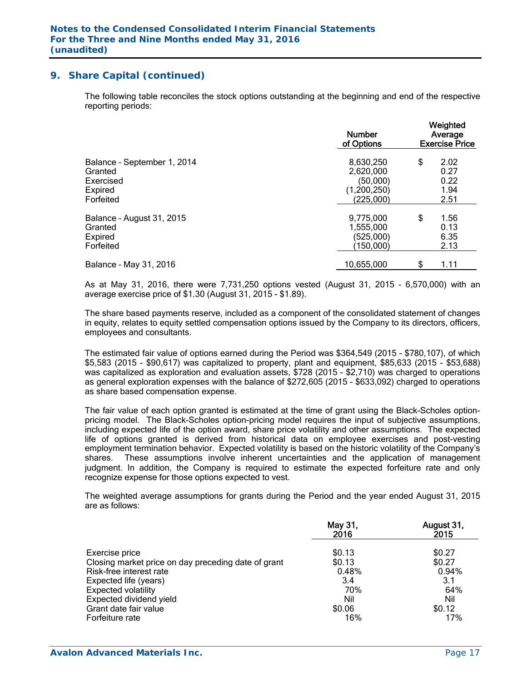The following table reconciles the stock options outstanding at the beginning and end of the respective reporting periods:

|                                                                             | <b>Number</b><br>of Options                                    | Weighted<br>Average<br><b>Exercise Price</b> |  |  |  |
|-----------------------------------------------------------------------------|----------------------------------------------------------------|----------------------------------------------|--|--|--|
| Balance - September 1, 2014<br>Granted<br>Exercised<br>Expired<br>Forfeited | 8,630,250<br>2,620,000<br>(50,000)<br>(1,200,250)<br>(225,000) | \$<br>2.02<br>0.27<br>0.22<br>1.94<br>2.51   |  |  |  |
| Balance - August 31, 2015<br>Granted<br><b>Expired</b><br>Forfeited         | 9,775,000<br>1,555,000<br>(525,000)<br>(150,000)               | \$<br>1.56<br>0.13<br>6.35<br>2.13           |  |  |  |
| Balance - May 31, 2016                                                      | 10,655,000                                                     | \$<br>1.11                                   |  |  |  |

As at May 31, 2016, there were 7,731,250 options vested (August 31, 2015 – 6,570,000) with an average exercise price of \$1.30 (August 31, 2015 - \$1.89).

The share based payments reserve, included as a component of the consolidated statement of changes in equity, relates to equity settled compensation options issued by the Company to its directors, officers, employees and consultants.

The estimated fair value of options earned during the Period was \$364,549 (2015 - \$780,107), of which \$5,583 (2015 - \$90,617) was capitalized to property, plant and equipment, \$85,633 (2015 - \$53,688) was capitalized as exploration and evaluation assets, \$728 (2015 - \$2,710) was charged to operations as general exploration expenses with the balance of \$272,605 (2015 - \$633,092) charged to operations as share based compensation expense.

The fair value of each option granted is estimated at the time of grant using the Black-Scholes optionpricing model. The Black-Scholes option-pricing model requires the input of subjective assumptions, including expected life of the option award, share price volatility and other assumptions. The expected life of options granted is derived from historical data on employee exercises and post-vesting employment termination behavior. Expected volatility is based on the historic volatility of the Company's shares. These assumptions involve inherent uncertainties and the application of management judgment. In addition, the Company is required to estimate the expected forfeiture rate and only recognize expense for those options expected to vest.

The weighted average assumptions for grants during the Period and the year ended August 31, 2015 are as follows:

|                                                     | May 31,<br>2016 | August 31,<br>2015 |
|-----------------------------------------------------|-----------------|--------------------|
| Exercise price                                      | \$0.13          | \$0.27             |
| Closing market price on day preceding date of grant | \$0.13          | \$0.27             |
| Risk-free interest rate                             | 0.48%           | 0.94%              |
| Expected life (years)                               | 3.4             | 3.1                |
| <b>Expected volatility</b>                          | 70%             | 64%                |
| Expected dividend yield                             | Nil             | Nil                |
| Grant date fair value                               | \$0.06          | \$0.12             |
| Forfeiture rate                                     | 16%             | 17%                |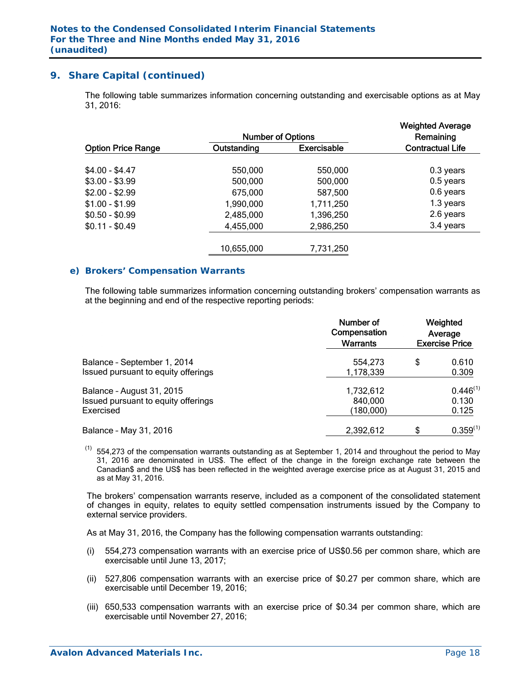The following table summarizes information concerning outstanding and exercisable options as at May 31, 2016:

|                           | <b>Number of Options</b> |                    |                         |  |  |
|---------------------------|--------------------------|--------------------|-------------------------|--|--|
| <b>Option Price Range</b> | Outstanding              | <b>Exercisable</b> | <b>Contractual Life</b> |  |  |
| $$4.00 - $4.47$           | 550,000                  | 550,000            | $0.3$ years             |  |  |
| $$3.00 - $3.99$           | 500,000                  | 500,000            | $0.5$ years             |  |  |
| $$2.00 - $2.99$           | 675,000                  | 587,500            | 0.6 years               |  |  |
| $$1.00 - $1.99$           | 1,990,000                | 1,711,250          | 1.3 years               |  |  |
| $$0.50 - $0.99$           | 2,485,000                | 1,396,250          | 2.6 years               |  |  |
| $$0.11 - $0.49$           | 4,455,000                | 2,986,250          | 3.4 years               |  |  |
|                           | 10,655,000               | 7,731,250          |                         |  |  |
|                           |                          |                    |                         |  |  |

#### *e) Brokers' Compensation Warrants*

The following table summarizes information concerning outstanding brokers' compensation warrants as at the beginning and end of the respective reporting periods:

| Balance - September 1, 2014<br>Issued pursuant to equity offerings            | Number of<br>Compensation<br><b>Warrants</b> | Weighted<br>Average<br><b>Exercise Price</b> |                                 |  |  |
|-------------------------------------------------------------------------------|----------------------------------------------|----------------------------------------------|---------------------------------|--|--|
|                                                                               | 554.273<br>1,178,339                         | \$                                           | 0.610<br>0.309                  |  |  |
| Balance - August 31, 2015<br>Issued pursuant to equity offerings<br>Exercised | 1,732,612<br>840,000<br>(180,000)            |                                              | $0.446^{(1)}$<br>0.130<br>0.125 |  |  |
| Balance - May 31, 2016                                                        | 2,392,612                                    | \$                                           | $0.359^{(1)}$                   |  |  |

 $(1)$  554,273 of the compensation warrants outstanding as at September 1, 2014 and throughout the period to May 31, 2016 are denominated in US\$. The effect of the change in the foreign exchange rate between the Canadian\$ and the US\$ has been reflected in the weighted average exercise price as at August 31, 2015 and as at May 31, 2016.

The brokers' compensation warrants reserve, included as a component of the consolidated statement of changes in equity, relates to equity settled compensation instruments issued by the Company to external service providers.

As at May 31, 2016, the Company has the following compensation warrants outstanding:

- (i) 554,273 compensation warrants with an exercise price of US\$0.56 per common share, which are exercisable until June 13, 2017;
- (ii) 527,806 compensation warrants with an exercise price of \$0.27 per common share, which are exercisable until December 19, 2016;
- (iii) 650,533 compensation warrants with an exercise price of \$0.34 per common share, which are exercisable until November 27, 2016;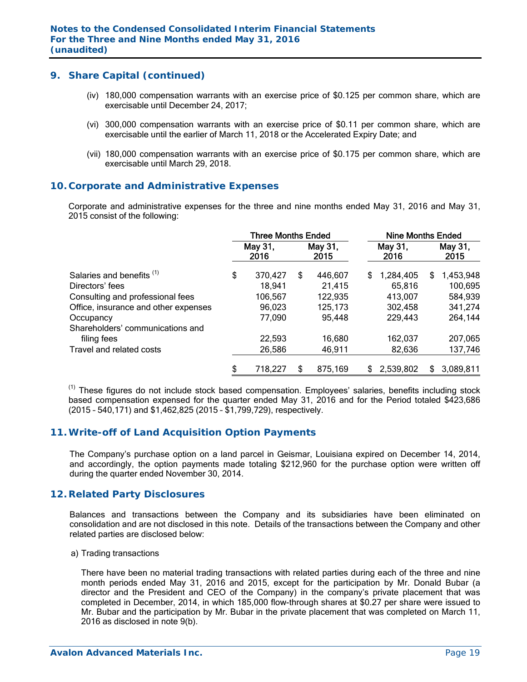- (iv) 180,000 compensation warrants with an exercise price of \$0.125 per common share, which are exercisable until December 24, 2017;
- (vi) 300,000 compensation warrants with an exercise price of \$0.11 per common share, which are exercisable until the earlier of March 11, 2018 or the Accelerated Expiry Date; and
- (vii) 180,000 compensation warrants with an exercise price of \$0.175 per common share, which are exercisable until March 29, 2018.

## **10. Corporate and Administrative Expenses**

 Corporate and administrative expenses for the three and nine months ended May 31, 2016 and May 31, 2015 consist of the following:

|                                      | <b>Three Months Ended</b> |                 |    |                 | <b>Nine Months Ended</b> |                 |   |                 |
|--------------------------------------|---------------------------|-----------------|----|-----------------|--------------------------|-----------------|---|-----------------|
|                                      |                           | May 31,<br>2016 |    | May 31,<br>2015 |                          | May 31,<br>2016 |   | May 31,<br>2015 |
| Salaries and benefits <sup>(1)</sup> | \$                        | 370,427         | S  | 446,607         | S                        | 1,284,405       | S | 1,453,948       |
| Directors' fees                      |                           | 18,941          |    | 21,415          |                          | 65,816          |   | 100,695         |
| Consulting and professional fees     |                           | 106,567         |    | 122,935         |                          | 413,007         |   | 584,939         |
| Office, insurance and other expenses |                           | 96,023          |    | 125,173         |                          | 302,458         |   | 341,274         |
| Occupancy                            |                           | 77,090          |    | 95,448          |                          | 229,443         |   | 264,144         |
| Shareholders' communications and     |                           |                 |    |                 |                          |                 |   |                 |
| filing fees                          |                           | 22,593          |    | 16,680          |                          | 162,037         |   | 207,065         |
| Travel and related costs             |                           | 26,586          |    | 46,911          |                          | 82,636          |   | 137,746         |
|                                      | \$                        | 718,227         | \$ | 875,169         | £                        | 2,539,802       | S | 3,089,811       |

 $<sup>(1)</sup>$  These figures do not include stock based compensation. Employees' salaries, benefits including stock</sup> based compensation expensed for the quarter ended May 31, 2016 and for the Period totaled \$423,686 (2015 – 540,171) and \$1,462,825 (2015 – \$1,799,729), respectively.

## **11. Write-off of Land Acquisition Option Payments**

The Company's purchase option on a land parcel in Geismar, Louisiana expired on December 14, 2014, and accordingly, the option payments made totaling \$212,960 for the purchase option were written off during the quarter ended November 30, 2014.

#### **12. Related Party Disclosures**

Balances and transactions between the Company and its subsidiaries have been eliminated on consolidation and are not disclosed in this note. Details of the transactions between the Company and other related parties are disclosed below:

#### a) Trading transactions

There have been no material trading transactions with related parties during each of the three and nine month periods ended May 31, 2016 and 2015, except for the participation by Mr. Donald Bubar (a director and the President and CEO of the Company) in the company's private placement that was completed in December, 2014, in which 185,000 flow-through shares at \$0.27 per share were issued to Mr. Bubar and the participation by Mr. Bubar in the private placement that was completed on March 11, 2016 as disclosed in note 9(b).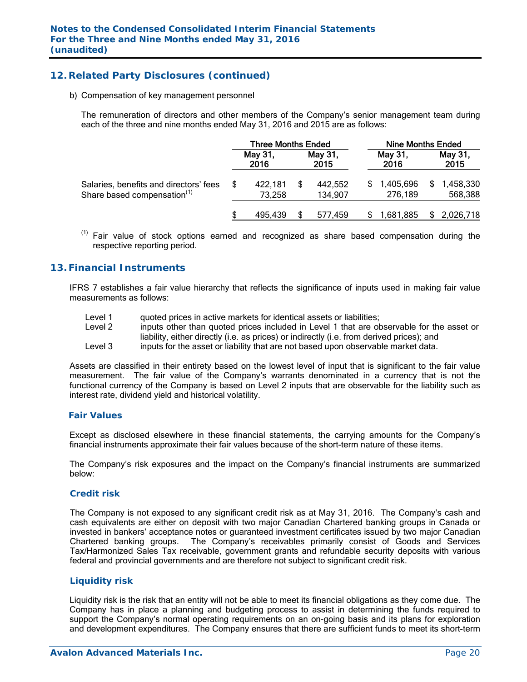# **12. Related Party Disclosures (continued)**

b) Compensation of key management personnel

The remuneration of directors and other members of the Company's senior management team during each of the three and nine months ended May 31, 2016 and 2015 are as follows:

|                                                                                   | <b>Three Months Ended</b> |                   |  | <b>Nine Months Ended</b> |    |                      |   |                      |
|-----------------------------------------------------------------------------------|---------------------------|-------------------|--|--------------------------|----|----------------------|---|----------------------|
|                                                                                   |                           | May 31,<br>2016   |  | May 31,<br>2015          |    | May 31,<br>2016      |   | May 31,<br>2015      |
| Salaries, benefits and directors' fees<br>Share based compensation <sup>(1)</sup> |                           | 422,181<br>73,258 |  | 442,552<br>134,907       | S. | 1,405,696<br>276,189 | S | 1,458,330<br>568,388 |
|                                                                                   |                           | 495,439           |  | 577.459                  |    | 1,681,885            |   | 2,026,718            |

 $<sup>(1)</sup>$  Fair value of stock options earned and recognized as share based compensation during the</sup> respective reporting period.

#### **13. Financial Instruments**

IFRS 7 establishes a fair value hierarchy that reflects the significance of inputs used in making fair value measurements as follows:

Level 1 quoted prices in active markets for identical assets or liabilities; Level 2 inputs other than quoted prices included in Level 1 that are observable for the asset or liability, either directly (i.e. as prices) or indirectly (i.e. from derived prices); and Level 3 inputs for the asset or liability that are not based upon observable market data.

Assets are classified in their entirety based on the lowest level of input that is significant to the fair value measurement. The fair value of the Company's warrants denominated in a currency that is not the functional currency of the Company is based on Level 2 inputs that are observable for the liability such as interest rate, dividend yield and historical volatility.

#### *Fair Values*

Except as disclosed elsewhere in these financial statements, the carrying amounts for the Company's financial instruments approximate their fair values because of the short-term nature of these items.

The Company's risk exposures and the impact on the Company's financial instruments are summarized below:

#### *Credit risk*

The Company is not exposed to any significant credit risk as at May 31, 2016. The Company's cash and cash equivalents are either on deposit with two major Canadian Chartered banking groups in Canada or invested in bankers' acceptance notes or guaranteed investment certificates issued by two major Canadian Chartered banking groups. The Company's receivables primarily consist of Goods and Services Tax/Harmonized Sales Tax receivable, government grants and refundable security deposits with various federal and provincial governments and are therefore not subject to significant credit risk.

#### *Liquidity risk*

Liquidity risk is the risk that an entity will not be able to meet its financial obligations as they come due. The Company has in place a planning and budgeting process to assist in determining the funds required to support the Company's normal operating requirements on an on-going basis and its plans for exploration and development expenditures. The Company ensures that there are sufficient funds to meet its short-term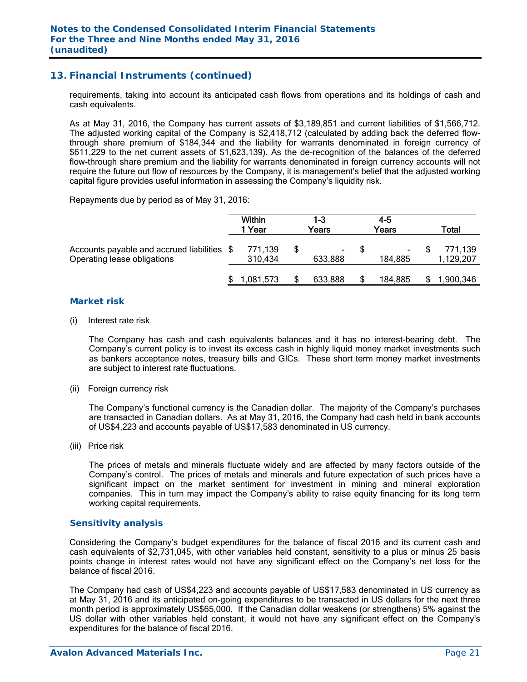# **13. Financial Instruments (continued)**

requirements, taking into account its anticipated cash flows from operations and its holdings of cash and cash equivalents.

As at May 31, 2016, the Company has current assets of \$3,189,851 and current liabilities of \$1,566,712. The adjusted working capital of the Company is \$2,418,712 (calculated by adding back the deferred flowthrough share premium of \$184,344 and the liability for warrants denominated in foreign currency of \$611,229 to the net current assets of \$1,623,139). As the de-recognition of the balances of the deferred flow-through share premium and the liability for warrants denominated in foreign currency accounts will not require the future out flow of resources by the Company, it is management's belief that the adjusted working capital figure provides useful information in assessing the Company's liquidity risk.

Repayments due by period as of May 31, 2016:

|                                                                            | Within<br>1 Year   | 1-3<br>Years  | 4-5<br>Years      | Total                |
|----------------------------------------------------------------------------|--------------------|---------------|-------------------|----------------------|
| Accounts payable and accrued liabilities \$<br>Operating lease obligations | 771,139<br>310,434 | ۰.<br>633,888 | $\sim$<br>184,885 | 771,139<br>1,129,207 |
|                                                                            | 1,081,573          | 633,888       | 184,885           | ,900,346             |

#### *Market risk*

(i) Interest rate risk

 The Company has cash and cash equivalents balances and it has no interest-bearing debt. The Company's current policy is to invest its excess cash in highly liquid money market investments such as bankers acceptance notes, treasury bills and GICs. These short term money market investments are subject to interest rate fluctuations.

(ii) Foreign currency risk

 The Company's functional currency is the Canadian dollar. The majority of the Company's purchases are transacted in Canadian dollars. As at May 31, 2016, the Company had cash held in bank accounts of US\$4,223 and accounts payable of US\$17,583 denominated in US currency.

(iii) Price risk

 The prices of metals and minerals fluctuate widely and are affected by many factors outside of the Company's control. The prices of metals and minerals and future expectation of such prices have a significant impact on the market sentiment for investment in mining and mineral exploration companies. This in turn may impact the Company's ability to raise equity financing for its long term working capital requirements.

#### *Sensitivity analysis*

 Considering the Company's budget expenditures for the balance of fiscal 2016 and its current cash and cash equivalents of \$2,731,045, with other variables held constant, sensitivity to a plus or minus 25 basis points change in interest rates would not have any significant effect on the Company's net loss for the balance of fiscal 2016.

The Company had cash of US\$4,223 and accounts payable of US\$17,583 denominated in US currency as at May 31, 2016 and its anticipated on-going expenditures to be transacted in US dollars for the next three month period is approximately US\$65,000. If the Canadian dollar weakens (or strengthens) 5% against the US dollar with other variables held constant, it would not have any significant effect on the Company's expenditures for the balance of fiscal 2016.